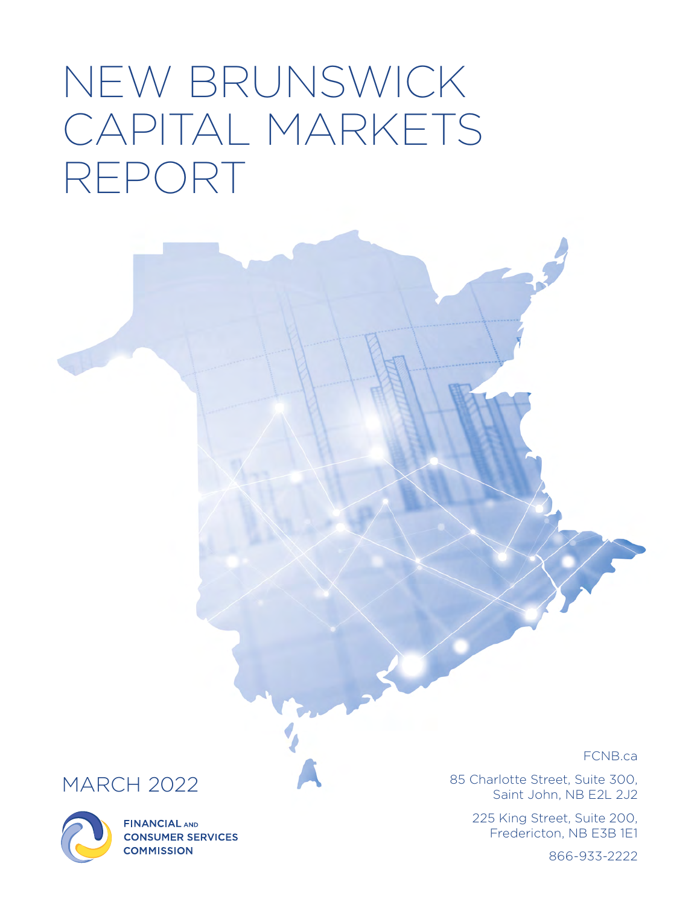# NEW BRUNSWICK CAPITAL MARKETS REPORT

# MARCH 2022



**FINANCIAL AND CONSUMER SERVICES COMMISSION** 

FCNB.ca

85 Charlotte Street, Suite 300, Saint John, NB E2L 2J2

> 225 King Street, Suite 200, Fredericton, NB E3B 1E1

> > 866-933-2222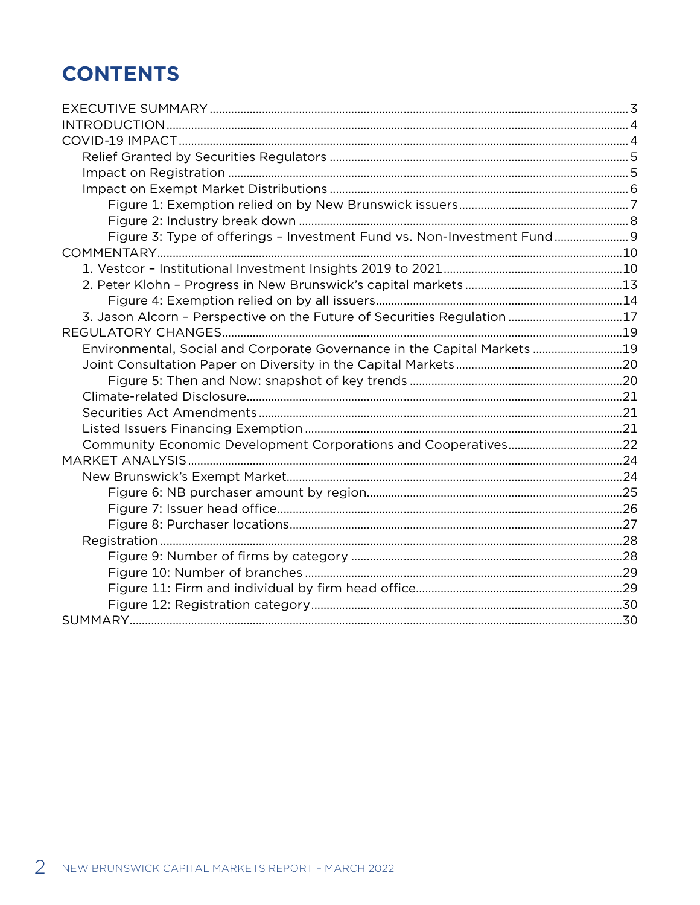# **CONTENTS**

| Figure 3: Type of offerings - Investment Fund vs. Non-Investment Fund 9  |  |
|--------------------------------------------------------------------------|--|
|                                                                          |  |
|                                                                          |  |
|                                                                          |  |
|                                                                          |  |
| 3. Jason Alcorn - Perspective on the Future of Securities Regulation 17  |  |
|                                                                          |  |
| Environmental, Social and Corporate Governance in the Capital Markets 19 |  |
|                                                                          |  |
|                                                                          |  |
|                                                                          |  |
|                                                                          |  |
|                                                                          |  |
|                                                                          |  |
|                                                                          |  |
|                                                                          |  |
|                                                                          |  |
|                                                                          |  |
|                                                                          |  |
|                                                                          |  |
|                                                                          |  |
|                                                                          |  |
|                                                                          |  |
|                                                                          |  |
|                                                                          |  |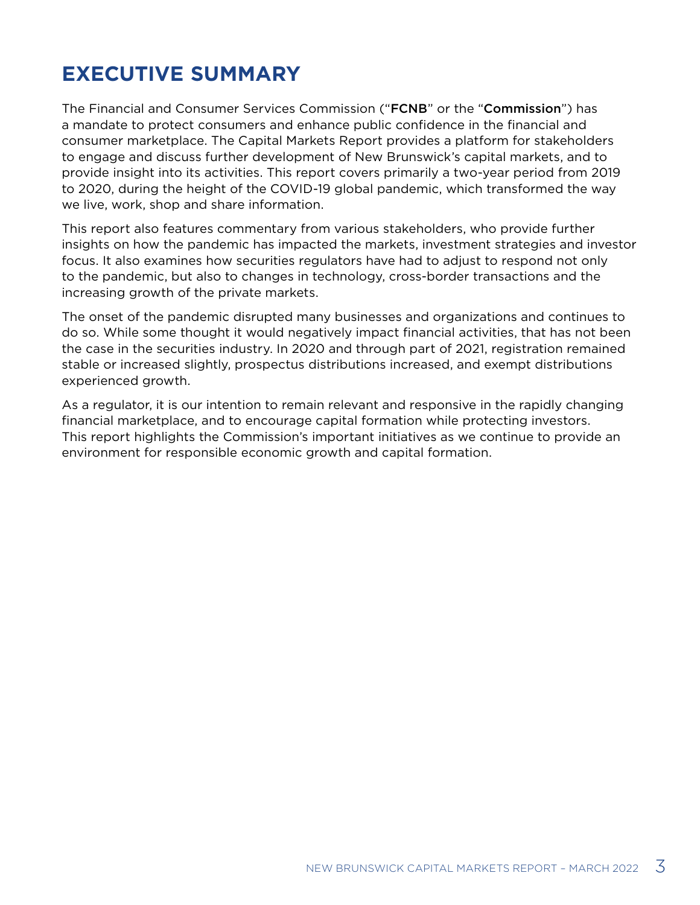# <span id="page-2-0"></span>**EXECUTIVE SUMMARY**

The Financial and Consumer Services Commission ("FCNB" or the "Commission") has a mandate to protect consumers and enhance public confidence in the financial and consumer marketplace. The Capital Markets Report provides a platform for stakeholders to engage and discuss further development of New Brunswick's capital markets, and to provide insight into its activities. This report covers primarily a two-year period from 2019 to 2020, during the height of the COVID-19 global pandemic, which transformed the way we live, work, shop and share information.

This report also features commentary from various stakeholders, who provide further insights on how the pandemic has impacted the markets, investment strategies and investor focus. It also examines how securities regulators have had to adjust to respond not only to the pandemic, but also to changes in technology, cross-border transactions and the increasing growth of the private markets.

The onset of the pandemic disrupted many businesses and organizations and continues to do so. While some thought it would negatively impact financial activities, that has not been the case in the securities industry. In 2020 and through part of 2021, registration remained stable or increased slightly, prospectus distributions increased, and exempt distributions experienced growth.

As a regulator, it is our intention to remain relevant and responsive in the rapidly changing financial marketplace, and to encourage capital formation while protecting investors. This report highlights the Commission's important initiatives as we continue to provide an environment for responsible economic growth and capital formation.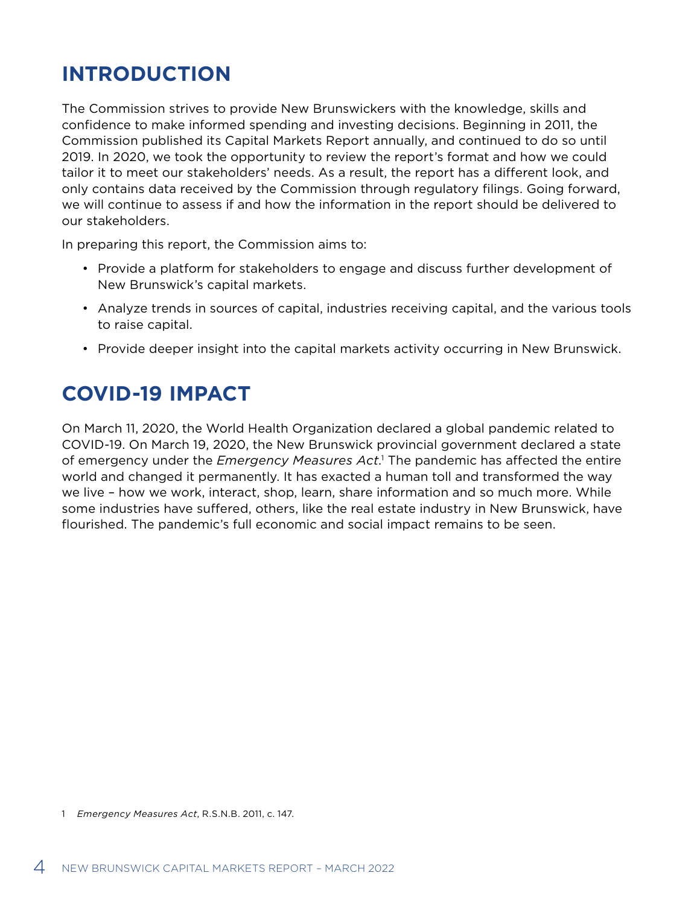# <span id="page-3-0"></span>**INTRODUCTION**

The Commission strives to provide New Brunswickers with the knowledge, skills and confidence to make informed spending and investing decisions. Beginning in 2011, the Commission published its Capital Markets Report annually, and continued to do so until 2019. In 2020, we took the opportunity to review the report's format and how we could tailor it to meet our stakeholders' needs. As a result, the report has a different look, and only contains data received by the Commission through regulatory filings. Going forward, we will continue to assess if and how the information in the report should be delivered to our stakeholders.

In preparing this report, the Commission aims to:

- Provide a platform for stakeholders to engage and discuss further development of New Brunswick's capital markets.
- Analyze trends in sources of capital, industries receiving capital, and the various tools to raise capital.
- Provide deeper insight into the capital markets activity occurring in New Brunswick.

# **COVID-19 IMPACT**

On March 11, 2020, the World Health Organization declared a global pandemic related to COVID-19. On March 19, 2020, the New Brunswick provincial government declared a state of emergency under the *Emergency Measures Act*.<sup>1</sup> The pandemic has affected the entire world and changed it permanently. It has exacted a human toll and transformed the way we live – how we work, interact, shop, learn, share information and so much more. While some industries have suffered, others, like the real estate industry in New Brunswick, have flourished. The pandemic's full economic and social impact remains to be seen.

<sup>1</sup> *Emergency Measures Act*, R.S.N.B. 2011, c. 147.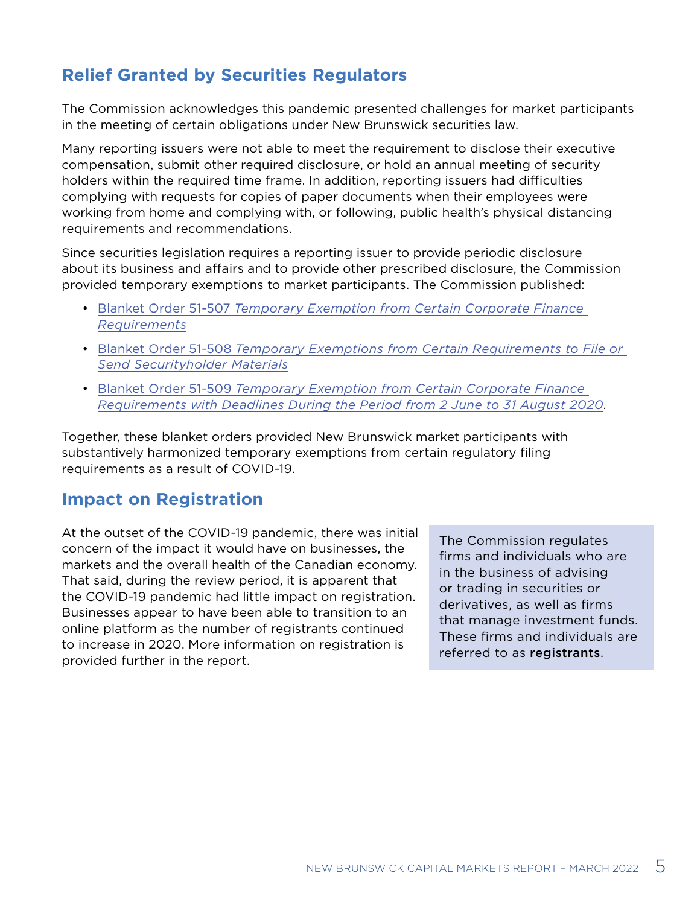### <span id="page-4-0"></span>**Relief Granted by Securities Regulators**

The Commission acknowledges this pandemic presented challenges for market participants in the meeting of certain obligations under New Brunswick securities law.

Many reporting issuers were not able to meet the requirement to disclose their executive compensation, submit other required disclosure, or hold an annual meeting of security holders within the required time frame. In addition, reporting issuers had difficulties complying with requests for copies of paper documents when their employees were working from home and complying with, or following, public health's physical distancing requirements and recommendations.

Since securities legislation requires a reporting issuer to provide periodic disclosure about its business and affairs and to provide other prescribed disclosure, the Commission provided temporary exemptions to market participants. The Commission published:

- Blanket Order 51-507 *[Temporary Exemption from Certain Corporate Finance](https://fcnb.ca/sites/default/files/2020-04/51-507-2020-03-23-E.pdf)  [Requirements](https://fcnb.ca/sites/default/files/2020-04/51-507-2020-03-23-E.pdf)*
- Blanket Order 51-508 *[Temporary Exemptions from Certain Requirements to File or](https://fcnb.ca/sites/default/files/2020-05/51-508-2020-05-01-E.pdf)  [Send Securityholder Materials](https://fcnb.ca/sites/default/files/2020-05/51-508-2020-05-01-E.pdf)*
- Blanket Order 51-509 *[Temporary Exemption from Certain Corporate Finance](https://fcnb.ca/sites/default/files/2020-05/51-509-2020-05-20-E.pdf)  [Requirements with Deadlines During the Period from 2 June to 31 August 2020](https://fcnb.ca/sites/default/files/2020-05/51-509-2020-05-20-E.pdf)*.

Together, these blanket orders provided New Brunswick market participants with substantively harmonized temporary exemptions from certain regulatory filing requirements as a result of COVID-19.

### **Impact on Registration**

At the outset of the COVID-19 pandemic, there was initial concern of the impact it would have on businesses, the markets and the overall health of the Canadian economy. That said, during the review period, it is apparent that the COVID-19 pandemic had little impact on registration. Businesses appear to have been able to transition to an online platform as the number of registrants continued to increase in 2020. More information on registration is provided further in the report.

The Commission regulates firms and individuals who are in the business of advising or trading in securities or derivatives, as well as firms that manage investment funds. These firms and individuals are referred to as registrants.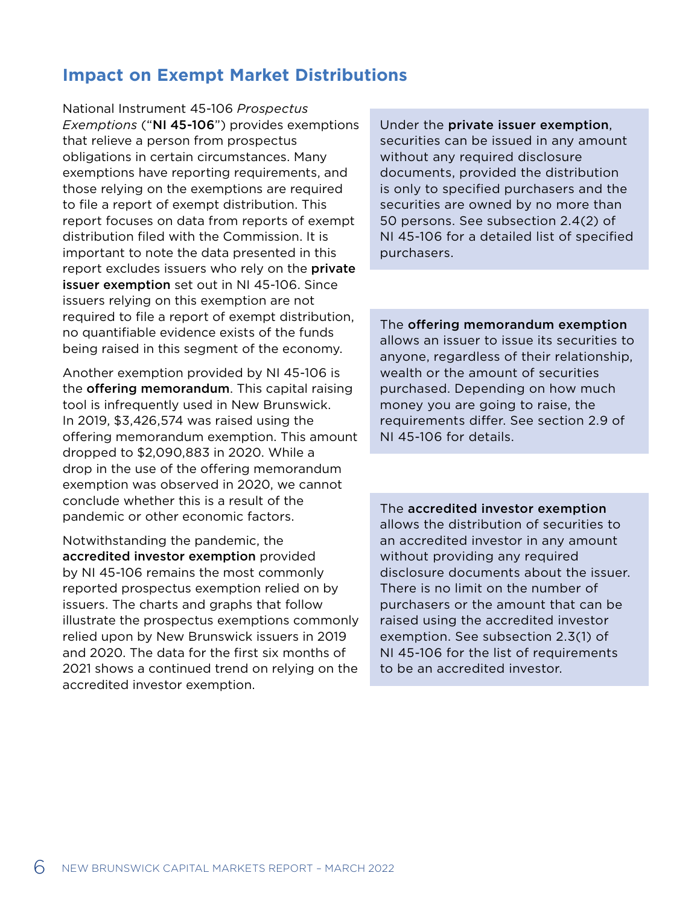### <span id="page-5-0"></span>**Impact on Exempt Market Distributions**

National Instrument 45-106 *Prospectus Exemptions* ("NI 45-106") provides exemptions that relieve a person from prospectus obligations in certain circumstances. Many exemptions have reporting requirements, and those relying on the exemptions are required to file a report of exempt distribution. This report focuses on data from reports of exempt distribution filed with the Commission. It is important to note the data presented in this report excludes issuers who rely on the **private** issuer exemption set out in NI 45-106. Since issuers relying on this exemption are not required to file a report of exempt distribution, no quantifiable evidence exists of the funds being raised in this segment of the economy.

Another exemption provided by NI 45-106 is the **offering memorandum**. This capital raising tool is infrequently used in New Brunswick. In 2019, \$3,426,574 was raised using the offering memorandum exemption. This amount dropped to \$2,090,883 in 2020. While a drop in the use of the offering memorandum exemption was observed in 2020, we cannot conclude whether this is a result of the pandemic or other economic factors.

Notwithstanding the pandemic, the accredited investor exemption provided by NI 45-106 remains the most commonly reported prospectus exemption relied on by issuers. The charts and graphs that follow illustrate the prospectus exemptions commonly relied upon by New Brunswick issuers in 2019 and 2020. The data for the first six months of 2021 shows a continued trend on relying on the accredited investor exemption.

Under the private issuer exemption, securities can be issued in any amount without any required disclosure documents, provided the distribution is only to specified purchasers and the securities are owned by no more than 50 persons. See subsection 2.4(2) of NI 45-106 for a detailed list of specified purchasers.

The offering memorandum exemption allows an issuer to issue its securities to anyone, regardless of their relationship, wealth or the amount of securities purchased. Depending on how much money you are going to raise, the requirements differ. See section 2.9 of NI 45-106 for details.

The accredited investor exemption allows the distribution of securities to an accredited investor in any amount without providing any required disclosure documents about the issuer. There is no limit on the number of purchasers or the amount that can be raised using the accredited investor exemption. See subsection 2.3(1) of NI 45-106 for the list of requirements to be an accredited investor.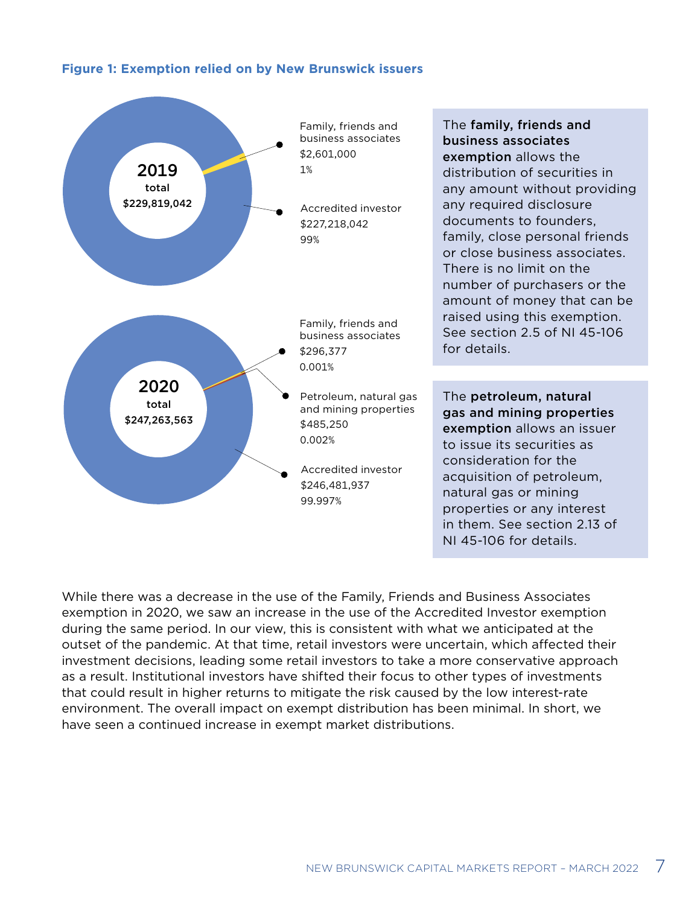#### <span id="page-6-0"></span>**Figure 1: Exemption relied on by New Brunswick issuers**



While there was a decrease in the use of the Family, Friends and Business Associates exemption in 2020, we saw an increase in the use of the Accredited Investor exemption during the same period. In our view, this is consistent with what we anticipated at the outset of the pandemic. At that time, retail investors were uncertain, which affected their investment decisions, leading some retail investors to take a more conservative approach as a result. Institutional investors have shifted their focus to other types of investments that could result in higher returns to mitigate the risk caused by the low interest-rate environment. The overall impact on exempt distribution has been minimal. In short, we have seen a continued increase in exempt market distributions.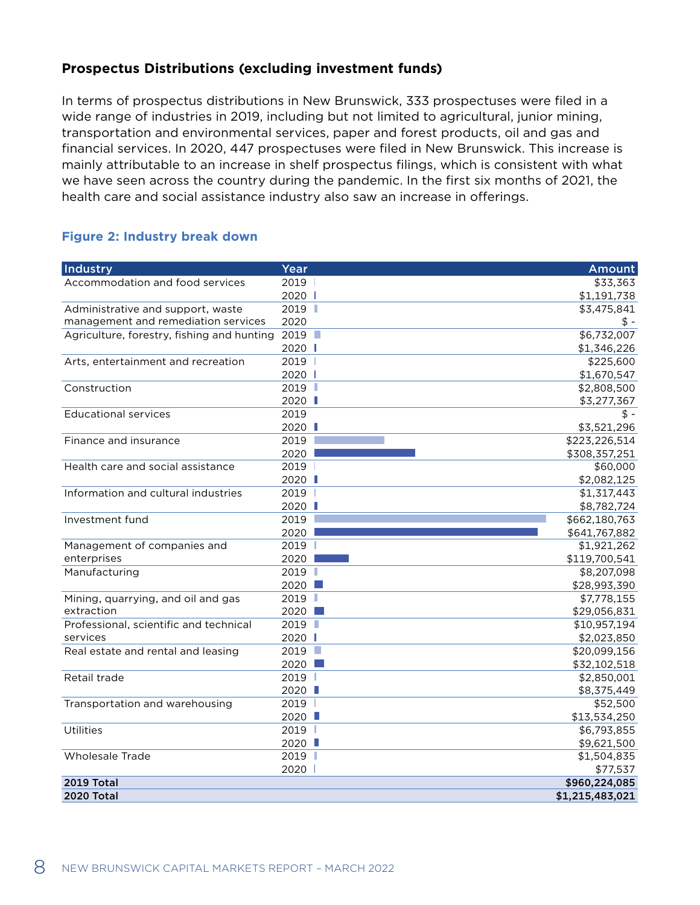### <span id="page-7-0"></span>**Prospectus Distributions (excluding investment funds)**

In terms of prospectus distributions in New Brunswick, 333 prospectuses were filed in a wide range of industries in 2019, including but not limited to agricultural, junior mining, transportation and environmental services, paper and forest products, oil and gas and financial services. In 2020, 447 prospectuses were filed in New Brunswick. This increase is mainly attributable to an increase in shelf prospectus filings, which is consistent with what we have seen across the country during the pandemic. In the first six months of 2021, the health care and social assistance industry also saw an increase in offerings.

#### **Figure 2: Industry break down**

| Industry                                   | Year   | <b>Amount</b>   |
|--------------------------------------------|--------|-----------------|
| Accommodation and food services            | 2019   | \$33,363        |
|                                            | 2020   | \$1,191,738     |
| Administrative and support, waste          | 2019   | \$3,475,841     |
| management and remediation services        | 2020   | $$ -$           |
| Agriculture, forestry, fishing and hunting | 2019   | \$6,732,007     |
|                                            | 2020   | \$1,346,226     |
| Arts, entertainment and recreation         | 2019   | \$225,600       |
|                                            | 2020   | \$1,670,547     |
| Construction                               | 2019   | \$2,808,500     |
|                                            | 2020 ■ | \$3,277,367     |
| <b>Educational services</b>                | 2019   | \$.             |
|                                            | 2020   | \$3,521,296     |
| Finance and insurance                      | 2019   | \$223,226,514   |
|                                            | 2020   | \$308,357,251   |
| Health care and social assistance          | 2019   | \$60,000        |
|                                            | 2020 L | \$2,082,125     |
| Information and cultural industries        | 2019   | \$1,317,443     |
|                                            | 2020 ■ | \$8,782,724     |
| Investment fund                            | 2019   | \$662,180,763   |
|                                            | 2020   | \$641,767,882   |
| Management of companies and                | 2019   | \$1,921,262     |
| enterprises                                | 2020   | \$119,700,541   |
| Manufacturing                              | 2019   | \$8,207,098     |
|                                            | 2020   | \$28,993,390    |
| Mining, quarrying, and oil and gas         | 2019   | \$7,778,155     |
| extraction                                 | 2020   | \$29,056,831    |
| Professional, scientific and technical     | 2019   | \$10,957,194    |
| services                                   | 2020   | \$2,023,850     |
| Real estate and rental and leasing         | 2019   | \$20,099,156    |
|                                            | 2020   | \$32,102,518    |
| Retail trade                               | 2019   | \$2,850,001     |
|                                            | 2020 ■ | \$8,375,449     |
| Transportation and warehousing             | 2019   | \$52,500        |
|                                            | 2020 ■ | \$13,534,250    |
| Utilities                                  | 2019   | \$6,793,855     |
|                                            | 2020 ■ | \$9,621,500     |
| <b>Wholesale Trade</b>                     | 2019   | \$1,504,835     |
|                                            | 2020 l | \$77,537        |
| <b>2019 Total</b>                          |        | \$960,224,085   |
| <b>2020 Total</b>                          |        | \$1,215,483,021 |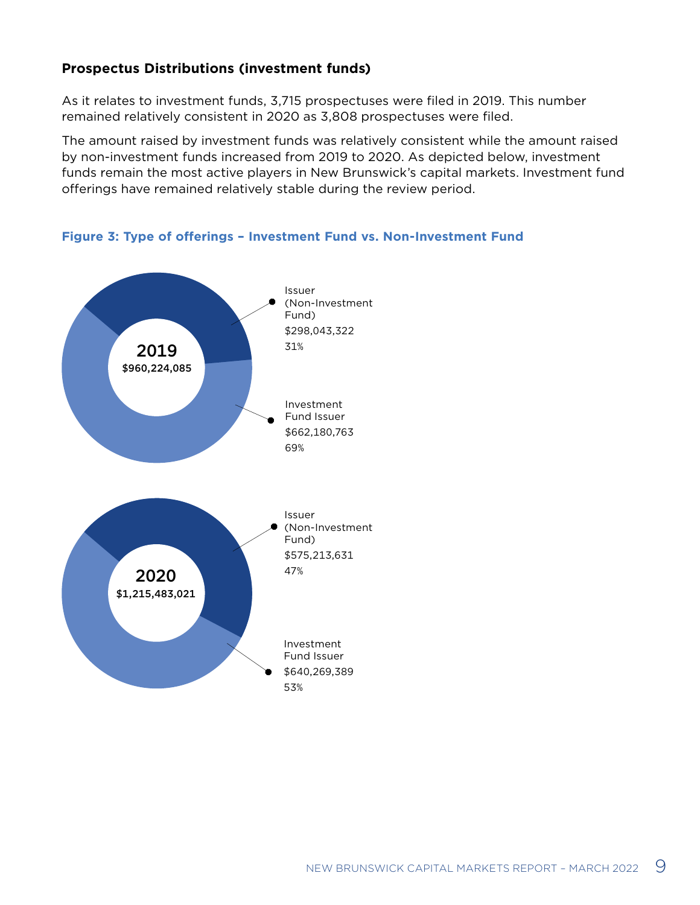### <span id="page-8-0"></span>**Prospectus Distributions (investment funds)**

As it relates to investment funds, 3,715 prospectuses were filed in 2019. This number remained relatively consistent in 2020 as 3,808 prospectuses were filed.

The amount raised by investment funds was relatively consistent while the amount raised by non-investment funds increased from 2019 to 2020. As depicted below, investment funds remain the most active players in New Brunswick's capital markets. Investment fund offerings have remained relatively stable during the review period.



**Figure 3: Type of offerings – Investment Fund vs. Non-Investment Fund**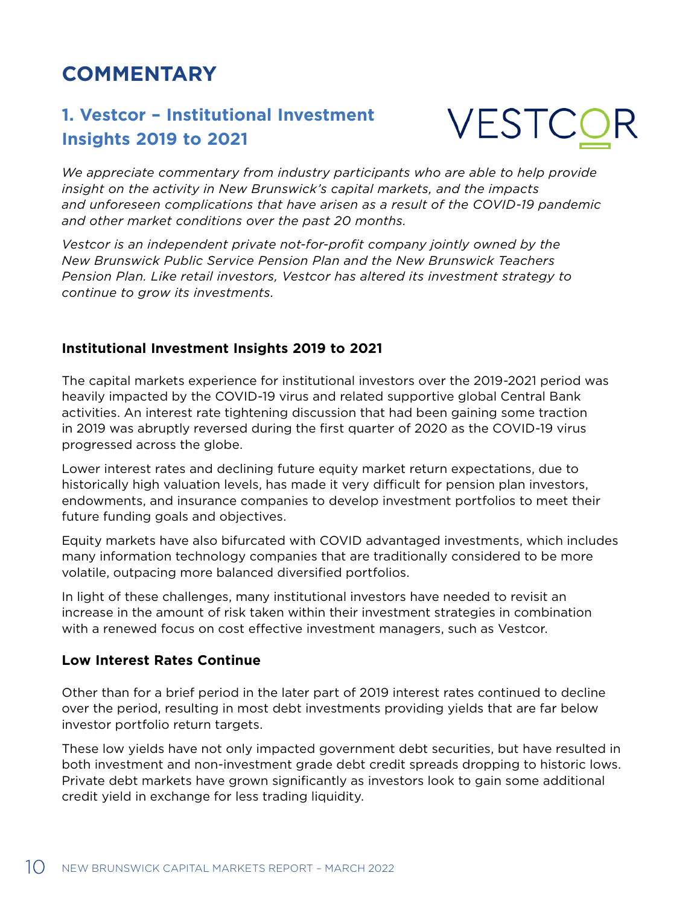# <span id="page-9-0"></span>**COMMENTARY**

### **1. Vestcor – Institutional Investment Insights 2019 to 2021**

**VESTC** 

*We appreciate commentary from industry participants who are able to help provide insight on the activity in New Brunswick's capital markets, and the impacts and unforeseen complications that have arisen as a result of the COVID-19 pandemic and other market conditions over the past 20 months.*

*Vestcor is an independent private not-for-profit company jointly owned by the New Brunswick Public Service Pension Plan and the New Brunswick Teachers Pension Plan. Like retail investors, Vestcor has altered its investment strategy to continue to grow its investments.* 

### **Institutional Investment Insights 2019 to 2021**

The capital markets experience for institutional investors over the 2019-2021 period was heavily impacted by the COVID-19 virus and related supportive global Central Bank activities. An interest rate tightening discussion that had been gaining some traction in 2019 was abruptly reversed during the first quarter of 2020 as the COVID-19 virus progressed across the globe.

Lower interest rates and declining future equity market return expectations, due to historically high valuation levels, has made it very difficult for pension plan investors, endowments, and insurance companies to develop investment portfolios to meet their future funding goals and objectives.

Equity markets have also bifurcated with COVID advantaged investments, which includes many information technology companies that are traditionally considered to be more volatile, outpacing more balanced diversified portfolios.

In light of these challenges, many institutional investors have needed to revisit an increase in the amount of risk taken within their investment strategies in combination with a renewed focus on cost effective investment managers, such as Vestcor.

### **Low Interest Rates Continue**

Other than for a brief period in the later part of 2019 interest rates continued to decline over the period, resulting in most debt investments providing yields that are far below investor portfolio return targets.

These low yields have not only impacted government debt securities, but have resulted in both investment and non-investment grade debt credit spreads dropping to historic lows. Private debt markets have grown significantly as investors look to gain some additional credit yield in exchange for less trading liquidity.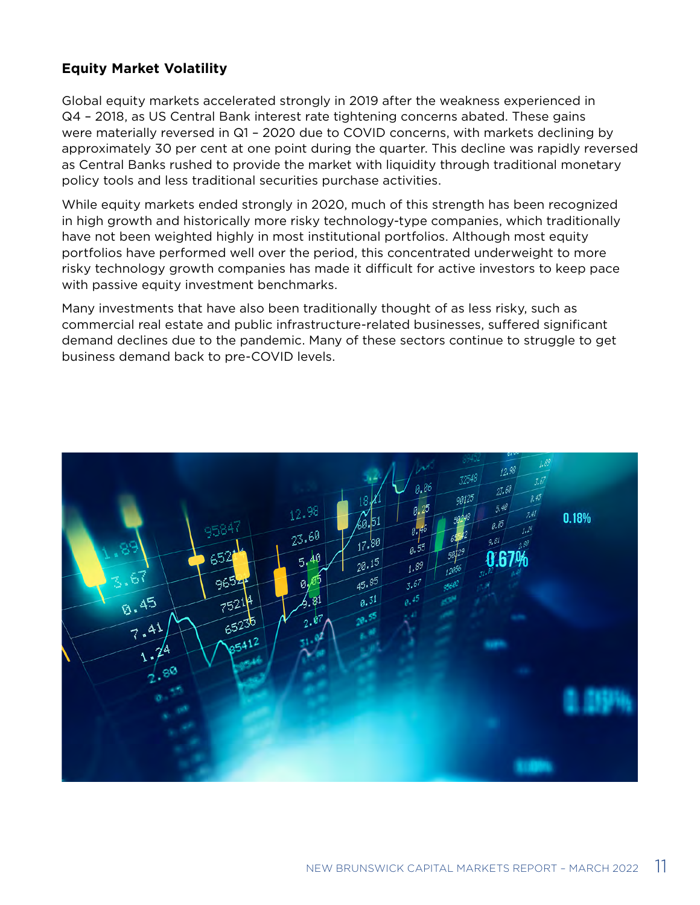### **Equity Market Volatility**

Global equity markets accelerated strongly in 2019 after the weakness experienced in Q4 – 2018, as US Central Bank interest rate tightening concerns abated. These gains were materially reversed in Q1 – 2020 due to COVID concerns, with markets declining by approximately 30 per cent at one point during the quarter. This decline was rapidly reversed as Central Banks rushed to provide the market with liquidity through traditional monetary policy tools and less traditional securities purchase activities.

While equity markets ended strongly in 2020, much of this strength has been recognized in high growth and historically more risky technology-type companies, which traditionally have not been weighted highly in most institutional portfolios. Although most equity portfolios have performed well over the period, this concentrated underweight to more risky technology growth companies has made it difficult for active investors to keep pace with passive equity investment benchmarks.

Many investments that have also been traditionally thought of as less risky, such as commercial real estate and public infrastructure-related businesses, suffered significant demand declines due to the pandemic. Many of these sectors continue to struggle to get business demand back to pre-COVID levels.

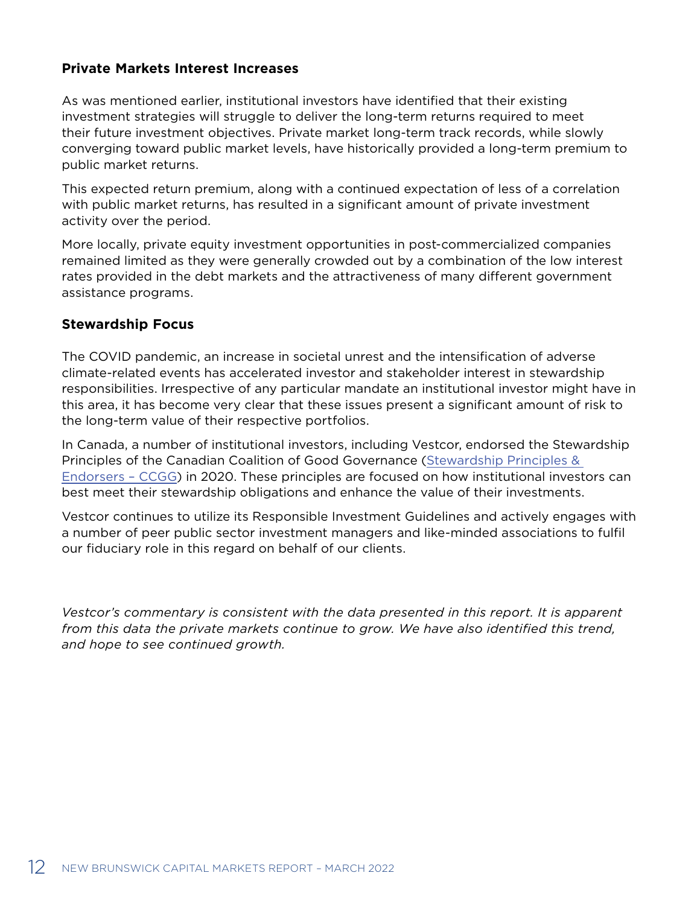### **Private Markets Interest Increases**

As was mentioned earlier, institutional investors have identified that their existing investment strategies will struggle to deliver the long-term returns required to meet their future investment objectives. Private market long-term track records, while slowly converging toward public market levels, have historically provided a long-term premium to public market returns.

This expected return premium, along with a continued expectation of less of a correlation with public market returns, has resulted in a significant amount of private investment activity over the period.

More locally, private equity investment opportunities in post-commercialized companies remained limited as they were generally crowded out by a combination of the low interest rates provided in the debt markets and the attractiveness of many different government assistance programs.

### **Stewardship Focus**

The COVID pandemic, an increase in societal unrest and the intensification of adverse climate-related events has accelerated investor and stakeholder interest in stewardship responsibilities. Irrespective of any particular mandate an institutional investor might have in this area, it has become very clear that these issues present a significant amount of risk to the long-term value of their respective portfolios.

In Canada, a number of institutional investors, including Vestcor, endorsed the Stewardship Principles of the Canadian Coalition of Good Governance [\(Stewardship Principles &](https://ccgg.ca/stewardship-principles-endorsers/)  [Endorsers – CCGG\)](https://ccgg.ca/stewardship-principles-endorsers/) in 2020. These principles are focused on how institutional investors can best meet their stewardship obligations and enhance the value of their investments.

Vestcor continues to utilize its Responsible Investment Guidelines and actively engages with a number of peer public sector investment managers and like-minded associations to fulfil our fiduciary role in this regard on behalf of our clients.

*Vestcor's commentary is consistent with the data presented in this report. It is apparent*  from this data the private markets continue to grow. We have also identified this trend, *and hope to see continued growth.*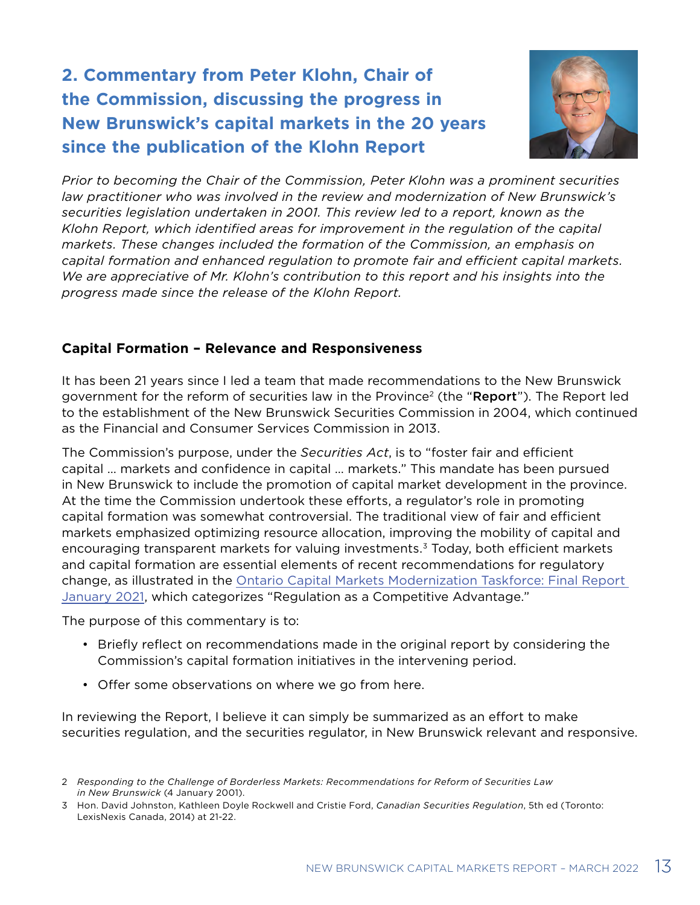# <span id="page-12-0"></span>**2. Commentary from Peter Klohn, Chair of the Commission, discussing the progress in New Brunswick's capital markets in the 20 years since the publication of the Klohn Report**



*Prior to becoming the Chair of the Commission, Peter Klohn was a prominent securities law practitioner who was involved in the review and modernization of New Brunswick's securities legislation undertaken in 2001. This review led to a report, known as the Klohn Report, which identified areas for improvement in the regulation of the capital markets. These changes included the formation of the Commission, an emphasis on capital formation and enhanced regulation to promote fair and efficient capital markets. We are appreciative of Mr. Klohn's contribution to this report and his insights into the progress made since the release of the Klohn Report.* 

### **Capital Formation – Relevance and Responsiveness**

It has been 21 years since I led a team that made recommendations to the New Brunswick government for the reform of securities law in the Province<sup>2</sup> (the "Report"). The Report led to the establishment of the New Brunswick Securities Commission in 2004, which continued as the Financial and Consumer Services Commission in 2013.

The Commission's purpose, under the *Securities Act*, is to "foster fair and efficient capital … markets and confidence in capital … markets." This mandate has been pursued in New Brunswick to include the promotion of capital market development in the province. At the time the Commission undertook these efforts, a regulator's role in promoting capital formation was somewhat controversial. The traditional view of fair and efficient markets emphasized optimizing resource allocation, improving the mobility of capital and encouraging transparent markets for valuing investments.<sup>3</sup> Today, both efficient markets and capital formation are essential elements of recent recommendations for regulatory change, as illustrated in the [Ontario Capital Markets Modernization Taskforce: Final Report](https://www.ontario.ca/document/capital-markets-modernization-taskforce-final-report-january-2021)  [January 2021](https://www.ontario.ca/document/capital-markets-modernization-taskforce-final-report-january-2021), which categorizes "Regulation as a Competitive Advantage."

The purpose of this commentary is to:

- Briefly reflect on recommendations made in the original report by considering the Commission's capital formation initiatives in the intervening period.
- Offer some observations on where we go from here.

In reviewing the Report, I believe it can simply be summarized as an effort to make securities regulation, and the securities regulator, in New Brunswick relevant and responsive.

<sup>2</sup> *Responding to the Challenge of Borderless Markets: Recommendations for Reform of Securities Law in New Brunswick* (4 January 2001).

<sup>3</sup> Hon. David Johnston, Kathleen Doyle Rockwell and Cristie Ford, *Canadian Securities Regulation*, 5th ed (Toronto: LexisNexis Canada, 2014) at 21-22.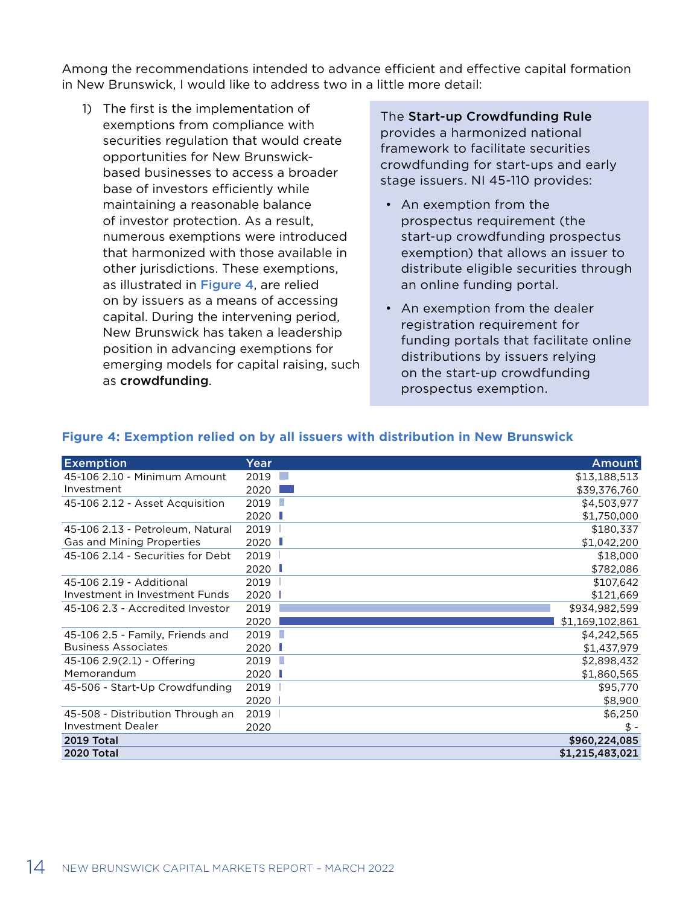<span id="page-13-0"></span>Among the recommendations intended to advance efficient and effective capital formation in New Brunswick, I would like to address two in a little more detail:

1) The first is the implementation of exemptions from compliance with securities regulation that would create opportunities for New Brunswickbased businesses to access a broader base of investors efficiently while maintaining a reasonable balance of investor protection. As a result, numerous exemptions were introduced that harmonized with those available in other jurisdictions. These exemptions, as illustrated in Figure 4, are relied on by issuers as a means of accessing capital. During the intervening period, New Brunswick has taken a leadership position in advancing exemptions for emerging models for capital raising, such as crowdfunding.

The Start-up Crowdfunding Rule provides a harmonized national framework to facilitate securities crowdfunding for start-ups and early stage issuers. NI 45-110 provides:

- An exemption from the prospectus requirement (the start-up crowdfunding prospectus exemption) that allows an issuer to distribute eligible securities through an online funding portal.
- An exemption from the dealer registration requirement for funding portals that facilitate online distributions by issuers relying on the start-up crowdfunding prospectus exemption.

| <b>Exemption</b>                  | Year      | Amount          |
|-----------------------------------|-----------|-----------------|
| 45-106 2.10 - Minimum Amount      | 2019      | \$13,188,513    |
| Investment                        | 2020      | \$39,376,760    |
| 45-106 2.12 - Asset Acquisition   | п<br>2019 | \$4,503,977     |
|                                   | 2020      | \$1,750,000     |
| 45-106 2.13 - Petroleum, Natural  | 2019      | \$180,337       |
| Gas and Mining Properties         | 2020      | \$1,042,200     |
| 45-106 2.14 - Securities for Debt | 2019      | \$18,000        |
|                                   | 2020<br>п | \$782,086       |
| 45-106 2.19 - Additional          | 2019      | \$107,642       |
| Investment in Investment Funds    | 2020      | \$121,669       |
| 45-106 2.3 - Accredited Investor  | 2019      | \$934,982,599   |
|                                   | 2020      | \$1,169,102,861 |
| 45-106 2.5 - Family, Friends and  | 2019<br>H | \$4,242,565     |
| <b>Business Associates</b>        | 2020 L    | \$1,437,979     |
| 45-106 2.9(2.1) - Offering        | ш<br>2019 | \$2,898,432     |
| Memorandum                        | 2020      | \$1,860,565     |
| 45-506 - Start-Up Crowdfunding    | 2019      | \$95,770        |
|                                   | 2020      | \$8,900         |
| 45-508 - Distribution Through an  | 2019      | \$6,250         |
| <b>Investment Dealer</b>          | 2020      | \$ -            |
| <b>2019 Total</b>                 |           | \$960,224,085   |
| <b>2020 Total</b>                 |           | \$1,215,483,021 |

#### **Figure 4: Exemption relied on by all issuers with distribution in New Brunswick**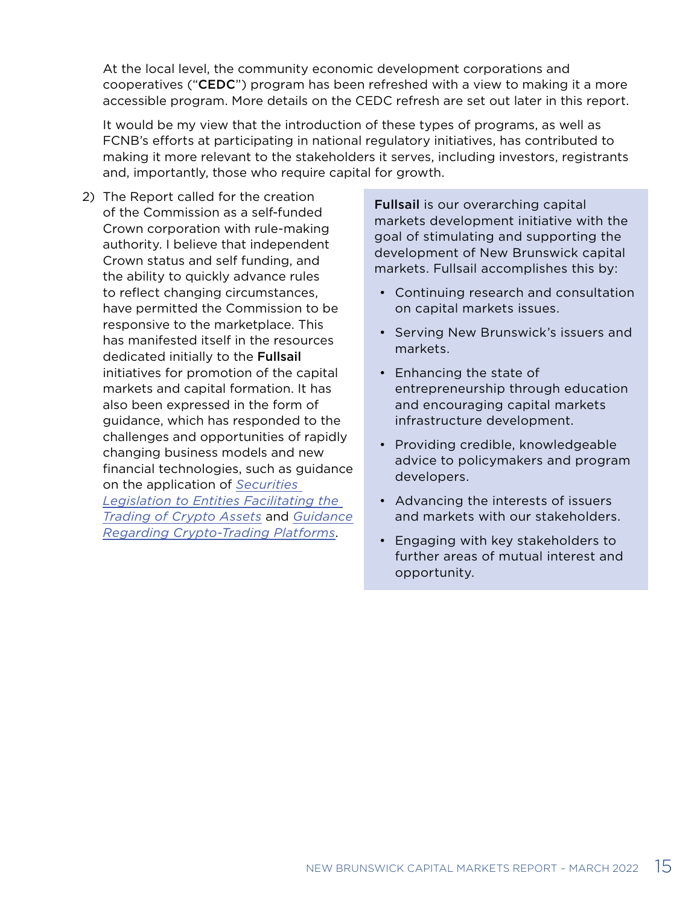At the local level, the community economic development corporations and cooperatives ("CEDC") program has been refreshed with a view to making it a more accessible program. More details on the CEDC refresh are set out later in this report.

It would be my view that the introduction of these types of programs, as well as FCNB's efforts at participating in national regulatory initiatives, has contributed to making it more relevant to the stakeholders it serves, including investors, registrants and, importantly, those who require capital for growth.

2) The Report called for the creation of the Commission as a self-funded Crown corporation with rule-making authority. I believe that independent Crown status and self funding, and the ability to quickly advance rules to reflect changing circumstances, have permitted the Commission to be responsive to the marketplace. This has manifested itself in the resources dedicated initially to the Fullsail initiatives for promotion of the capital markets and capital formation. It has also been expressed in the form of guidance, which has responded to the challenges and opportunities of rapidly changing business models and new financial technologies, such as guidance on the application of *[Securities](https://www.fcnb.ca/sites/default/files/2020-02/2020-01-16-CSAN-21-327-E.pdf)  [Legislation to Entities Facilitating the](https://www.fcnb.ca/sites/default/files/2020-02/2020-01-16-CSAN-21-327-E.pdf)  [Trading of Crypto Assets](https://www.fcnb.ca/sites/default/files/2020-02/2020-01-16-CSAN-21-327-E.pdf)* and *[Guidance](https://www.fcnb.ca/sites/default/files/2021-09/2021-09-23-CSAN-21-330-E.pdf)  [Regarding Crypto-Trading Platforms](https://www.fcnb.ca/sites/default/files/2021-09/2021-09-23-CSAN-21-330-E.pdf)*.

Fullsail is our overarching capital markets development initiative with the goal of stimulating and supporting the development of New Brunswick capital markets. Fullsail accomplishes this by:

- Continuing research and consultation on capital markets issues.
- Serving New Brunswick's issuers and markets.
- Enhancing the state of entrepreneurship through education and encouraging capital markets infrastructure development.
- Providing credible, knowledgeable advice to policymakers and program developers.
- Advancing the interests of issuers and markets with our stakeholders.
- Engaging with key stakeholders to further areas of mutual interest and opportunity.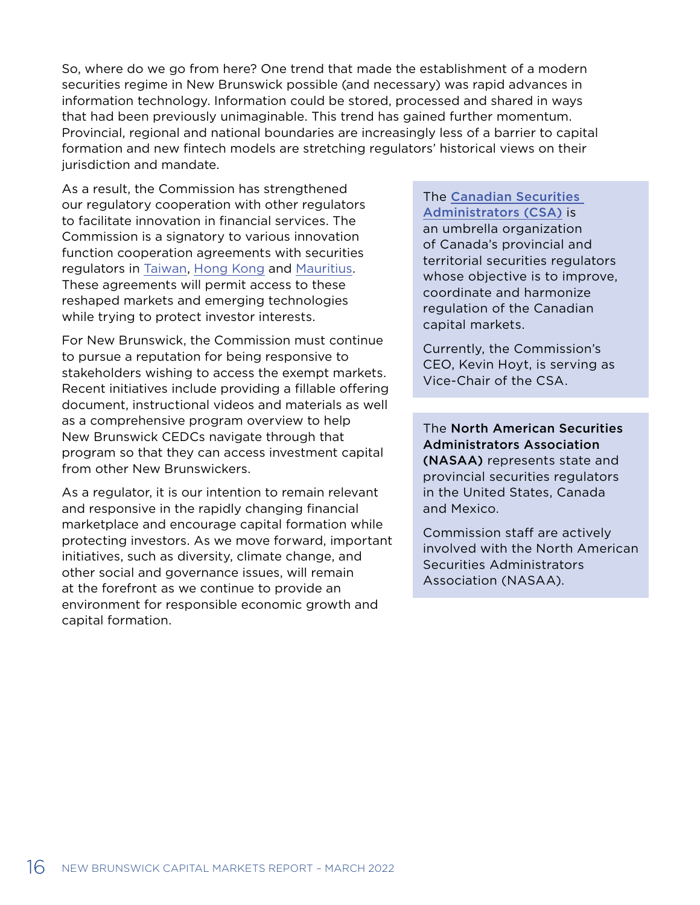So, where do we go from here? One trend that made the establishment of a modern securities regime in New Brunswick possible (and necessary) was rapid advances in information technology. Information could be stored, processed and shared in ways that had been previously unimaginable. This trend has gained further momentum. Provincial, regional and national boundaries are increasingly less of a barrier to capital formation and new fintech models are stretching regulators' historical views on their jurisdiction and mandate.

As a result, the Commission has strengthened our regulatory cooperation with other regulators to facilitate innovation in financial services. The Commission is a signatory to various innovation function cooperation agreements with securities regulators in [Taiwan,](https://www.fcnb.ca/en/news-alerts/canadian-securities-regulators-sign-fintech-co-operation-agreement-with-the-financial-supervisory) [Hong Kong](https://www.fcnb.ca/en/news-alerts/canadian-securities-regulators-sign-innovative-functions-co-operation-agreement-with-the-securities) and [Mauritius](https://www.fcnb.ca/en/news-alerts/canadian-securities-regulators-sign-fintech-co-operation-agreement-with-the-financial-services). These agreements will permit access to these reshaped markets and emerging technologies while trying to protect investor interests.

For New Brunswick, the Commission must continue to pursue a reputation for being responsive to stakeholders wishing to access the exempt markets. Recent initiatives include providing a fillable offering document, instructional videos and materials as well as a comprehensive program overview to help New Brunswick CEDCs navigate through that program so that they can access investment capital from other New Brunswickers.

As a regulator, it is our intention to remain relevant and responsive in the rapidly changing financial marketplace and encourage capital formation while protecting investors. As we move forward, important initiatives, such as diversity, climate change, and other social and governance issues, will remain at the forefront as we continue to provide an environment for responsible economic growth and capital formation.

### The [Canadian Securities](https://www.securities-administrators.ca/about/)  [Administrators \(CSA\)](https://www.securities-administrators.ca/about/) is

an umbrella organization of Canada's provincial and territorial securities regulators whose objective is to improve, coordinate and harmonize regulation of the Canadian capital markets.

Currently, the Commission's CEO, Kevin Hoyt, is serving as Vice-Chair of the CSA.

The North American Securities Administrators Association (NASAA) represents state and provincial securities regulators in the United States, Canada and Mexico.

Commission staff are actively involved with the North American Securities Administrators Association (NASAA).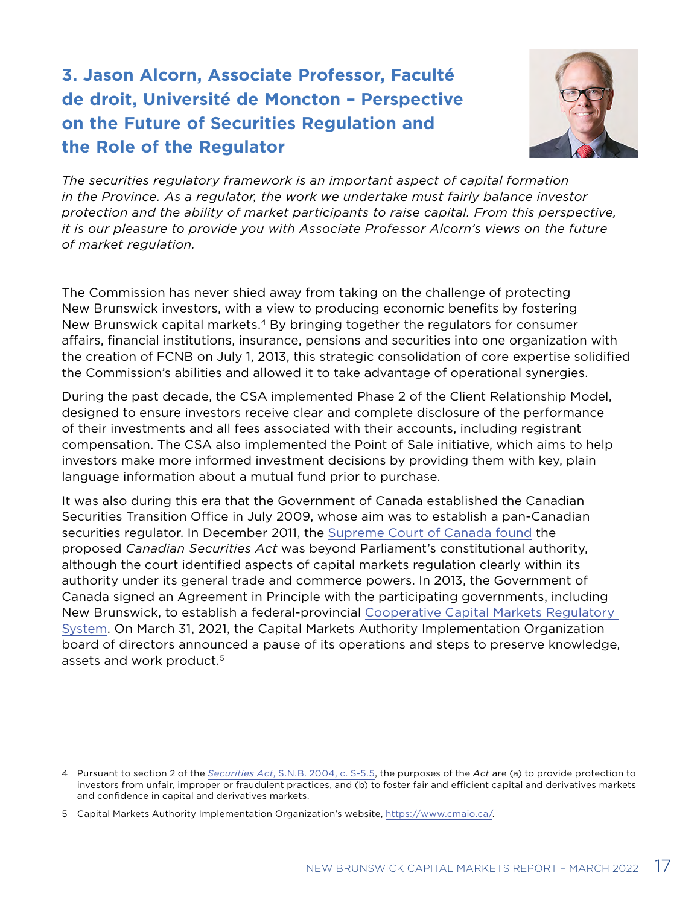# <span id="page-16-0"></span>**3. Jason Alcorn, Associate Professor, Faculté de droit, Université de Moncton – Perspective on the Future of Securities Regulation and the Role of the Regulator**



*The securities regulatory framework is an important aspect of capital formation in the Province. As a regulator, the work we undertake must fairly balance investor protection and the ability of market participants to raise capital. From this perspective, it is our pleasure to provide you with Associate Professor Alcorn's views on the future of market regulation.*

The Commission has never shied away from taking on the challenge of protecting New Brunswick investors, with a view to producing economic benefits by fostering New Brunswick capital markets.4 By bringing together the regulators for consumer affairs, financial institutions, insurance, pensions and securities into one organization with the creation of FCNB on July 1, 2013, this strategic consolidation of core expertise solidified the Commission's abilities and allowed it to take advantage of operational synergies.

During the past decade, the CSA implemented Phase 2 of the Client Relationship Model, designed to ensure investors receive clear and complete disclosure of the performance of their investments and all fees associated with their accounts, including registrant compensation. The CSA also implemented the Point of Sale initiative, which aims to help investors make more informed investment decisions by providing them with key, plain language information about a mutual fund prior to purchase.

It was also during this era that the Government of Canada established the Canadian Securities Transition Office in July 2009, whose aim was to establish a pan-Canadian securities regulator. In December 2011, the [Supreme Court of Canada found](https://www.canlii.org/en/ca/scc/doc/2011/2011scc66/2011scc66.html?searchUrlHash=AAAAAQApUmVmZXJlbmNlIFJlOiBTZWN1cml0aWVzIEFjdCwgMjAxMSBTQ0MgNjYAAAAAAQ) the proposed *Canadian Securities Act* was beyond Parliament's constitutional authority, although the court identified aspects of capital markets regulation clearly within its authority under its general trade and commerce powers. In 2013, the Government of Canada signed an Agreement in Principle with the participating governments, including New Brunswick, to establish a federal-provincial [Cooperative Capital Markets Regulatory](http://ccmr-ocrmc.ca/)  [System.](http://ccmr-ocrmc.ca/) On March 31, 2021, the Capital Markets Authority Implementation Organization board of directors announced a pause of its operations and steps to preserve knowledge, assets and work product.<sup>5</sup>

<sup>4</sup> Pursuant to section 2 of the *Securities Act*[, S.N.B. 2004, c. S-5.5](http://laws.gnb.ca/en/ShowPdf/cs/S-5.5.pdf), the purposes of the *Act* are (a) to provide protection to investors from unfair, improper or fraudulent practices, and (b) to foster fair and efficient capital and derivatives markets and confidence in capital and derivatives markets.

<sup>5</sup> Capital Markets Authority Implementation Organization's website, [https://www.cmaio.ca/.](https://www.cmaio.ca/)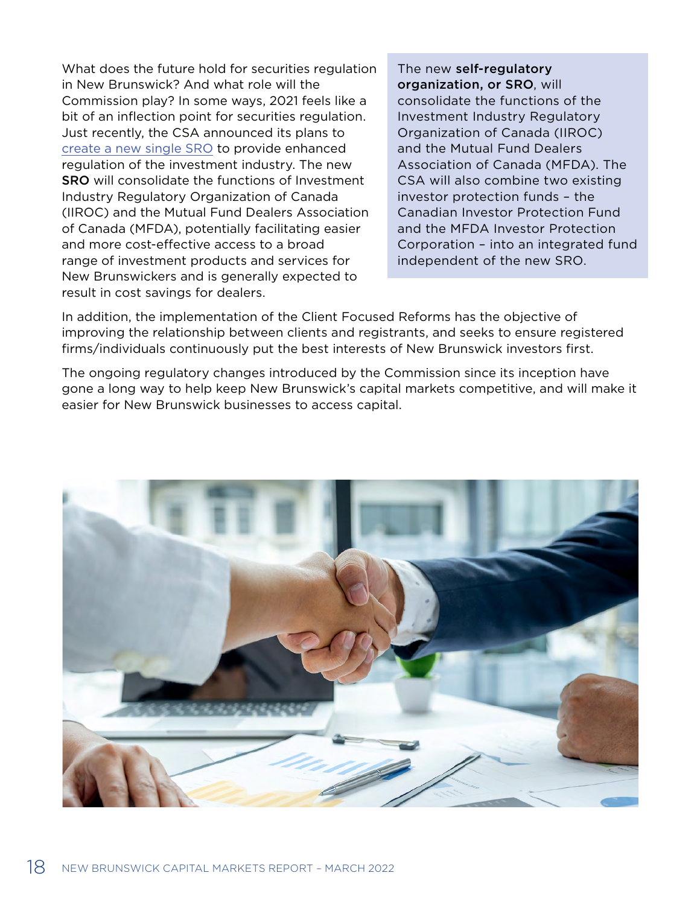What does the future hold for securities regulation in New Brunswick? And what role will the Commission play? In some ways, 2021 feels like a bit of an inflection point for securities regulation. Just recently, the CSA announced its plans to [create a new single SRO](https://www.fcnb.ca/en/news-alerts/canadian-securities-regulators-to-establish-new-single-enhanced-self-regulatory-organization) to provide enhanced regulation of the investment industry. The new SRO will consolidate the functions of Investment Industry Regulatory Organization of Canada (IIROC) and the Mutual Fund Dealers Association of Canada (MFDA), potentially facilitating easier and more cost-effective access to a broad range of investment products and services for New Brunswickers and is generally expected to result in cost savings for dealers.

The new self-regulatory organization, or SRO, will consolidate the functions of the Investment Industry Regulatory Organization of Canada (IIROC) and the Mutual Fund Dealers Association of Canada (MFDA). The CSA will also combine two existing investor protection funds – the Canadian Investor Protection Fund and the MFDA Investor Protection Corporation – into an integrated fund independent of the new SRO.

In addition, the implementation of the Client Focused Reforms has the objective of improving the relationship between clients and registrants, and seeks to ensure registered firms/individuals continuously put the best interests of New Brunswick investors first.

The ongoing regulatory changes introduced by the Commission since its inception have gone a long way to help keep New Brunswick's capital markets competitive, and will make it easier for New Brunswick businesses to access capital.

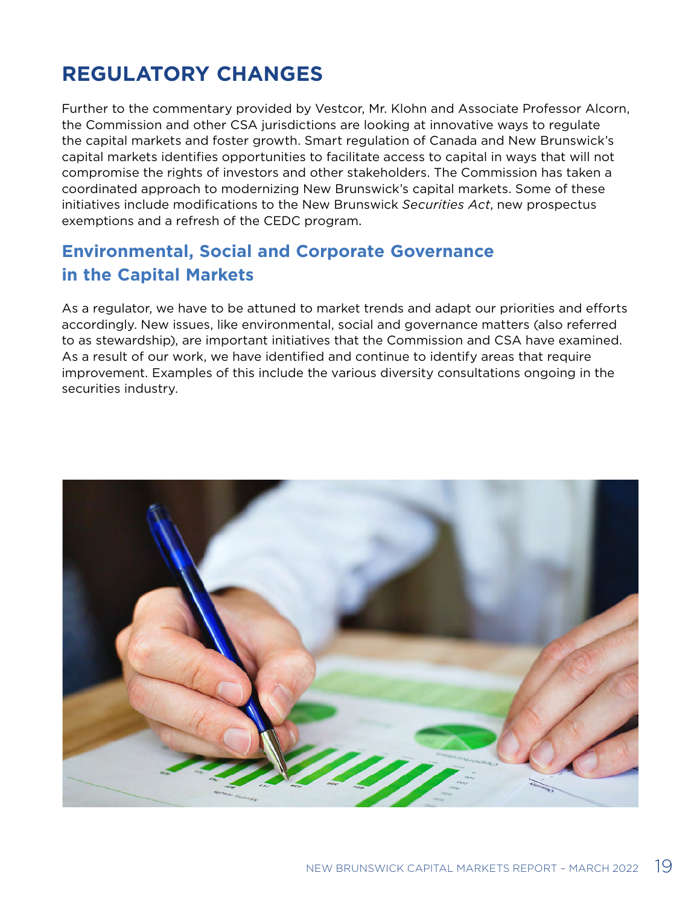# <span id="page-18-0"></span>**REGULATORY CHANGES**

Further to the commentary provided by Vestcor, Mr. Klohn and Associate Professor Alcorn, the Commission and other CSA jurisdictions are looking at innovative ways to regulate the capital markets and foster growth. Smart regulation of Canada and New Brunswick's capital markets identifies opportunities to facilitate access to capital in ways that will not compromise the rights of investors and other stakeholders. The Commission has taken a coordinated approach to modernizing New Brunswick's capital markets. Some of these initiatives include modifications to the New Brunswick *Securities Act*, new prospectus exemptions and a refresh of the CEDC program.

### **Environmental, Social and Corporate Governance in the Capital Markets**

As a regulator, we have to be attuned to market trends and adapt our priorities and efforts accordingly. New issues, like environmental, social and governance matters (also referred to as stewardship), are important initiatives that the Commission and CSA have examined. As a result of our work, we have identified and continue to identify areas that require improvement. Examples of this include the various diversity consultations ongoing in the securities industry.

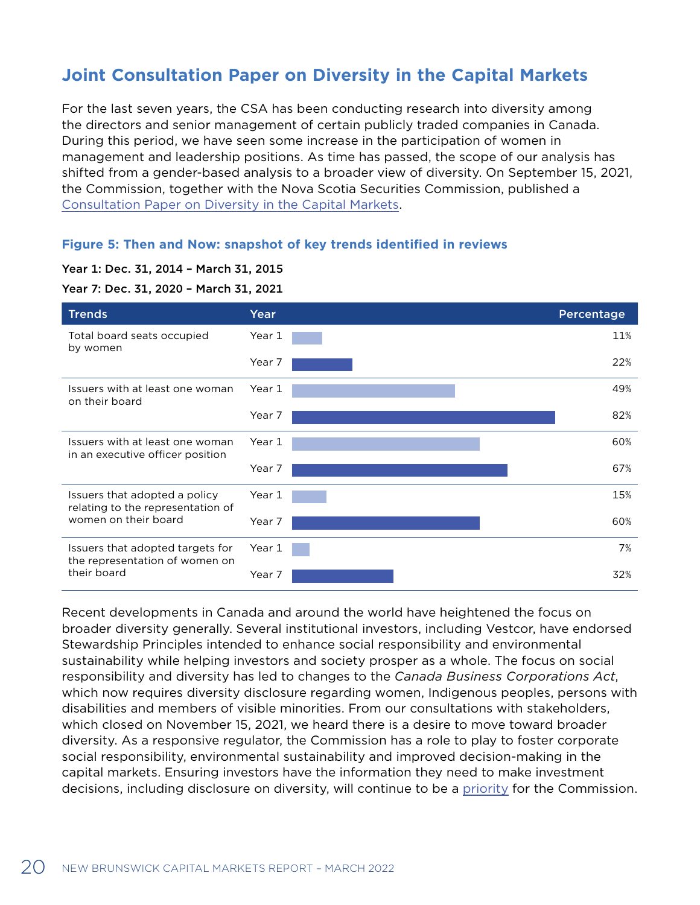### <span id="page-19-0"></span>**Joint Consultation Paper on Diversity in the Capital Markets**

For the last seven years, the CSA has been conducting research into diversity among the directors and senior management of certain publicly traded companies in Canada. During this period, we have seen some increase in the participation of women in management and leadership positions. As time has passed, the scope of our analysis has shifted from a gender-based analysis to a broader view of diversity. On September 15, 2021, the Commission, together with the Nova Scotia Securities Commission, published a [Consultation Paper on Diversity in the Capital Markets](https://www.fcnb.ca/sites/default/files/2021-09/Notice%20of%20Public%20Consultation%20on%20Diversity%20in%20the%20Capital%20Markets-E.pdf).

#### **Figure 5: Then and Now: snapshot of key trends identified in reviews**

#### Year 1: Dec. 31, 2014 – March 31, 2015

Year 7: Dec. 31, 2020 – March 31, 2021



Recent developments in Canada and around the world have heightened the focus on broader diversity generally. Several institutional investors, including Vestcor, have endorsed Stewardship Principles intended to enhance social responsibility and environmental sustainability while helping investors and society prosper as a whole. The focus on social responsibility and diversity has led to changes to the *Canada Business Corporations Act*, which now requires diversity disclosure regarding women, Indigenous peoples, persons with disabilities and members of visible minorities. From our consultations with stakeholders, which closed on November 15, 2021, we heard there is a desire to move toward broader diversity. As a responsive regulator, the Commission has a role to play to foster corporate social responsibility, environmental sustainability and improved decision-making in the capital markets. Ensuring investors have the information they need to make investment decisions, including disclosure on diversity, will continue to be a [priority](https://www.fcnb.ca/en/news-alerts/canadian-securities-regulators-to-hold-upcoming-consultations-on-broader-diversity-in-corporate) for the Commission.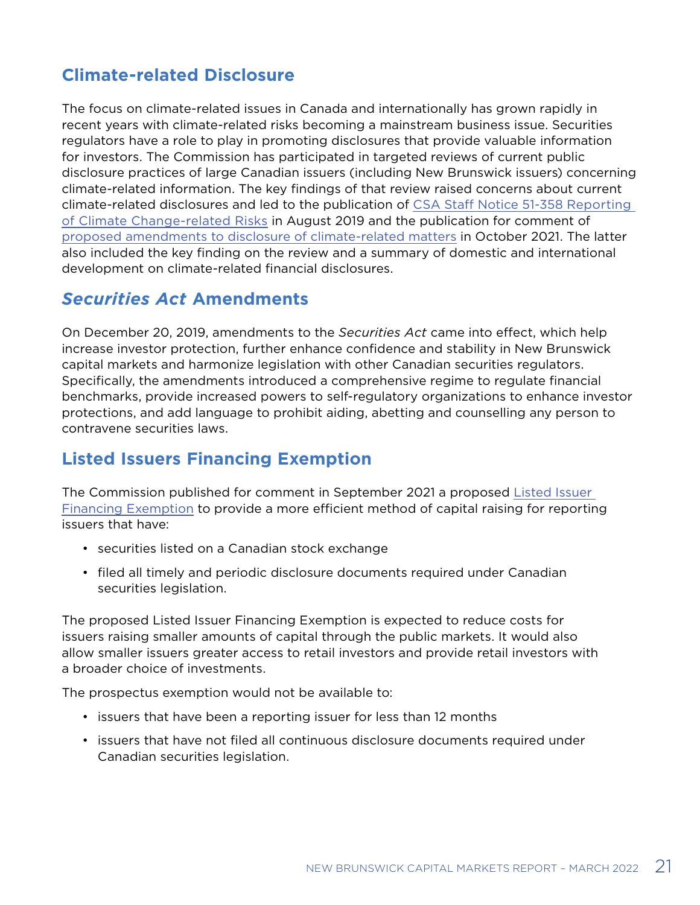### <span id="page-20-0"></span>**Climate-related Disclosure**

The focus on climate-related issues in Canada and internationally has grown rapidly in recent years with climate-related risks becoming a mainstream business issue. Securities regulators have a role to play in promoting disclosures that provide valuable information for investors. The Commission has participated in targeted reviews of current public disclosure practices of large Canadian issuers (including New Brunswick issuers) concerning climate-related information. The key findings of that review raised concerns about current climate-related disclosures and led to the publication of [CSA Staff Notice 51-358 Reporting](https://www.fcnb.ca/sites/default/files/2020-03/51-358-CSAN-2019-08-01-E.pdf)  [of Climate Change-related Risks](https://www.fcnb.ca/sites/default/files/2020-03/51-358-CSAN-2019-08-01-E.pdf) in August 2019 and the publication for comment of [proposed amendments to disclosure of climate-related matters](https://www.fcnb.ca/sites/default/files/2021-10/2021-10-18-CSAN-51-107-E.pdf) in October 2021. The latter also included the key finding on the review and a summary of domestic and international development on climate-related financial disclosures.

### *Securities Act* **Amendments**

On December 20, 2019, amendments to the *Securities Act* came into effect, which help increase investor protection, further enhance confidence and stability in New Brunswick capital markets and harmonize legislation with other Canadian securities regulators. Specifically, the amendments introduced a comprehensive regime to regulate financial benchmarks, provide increased powers to self-regulatory organizations to enhance investor protections, and add language to prohibit aiding, abetting and counselling any person to contravene securities laws.

### **Listed Issuers Financing Exemption**

The Commission published for comment in September 2021 a proposed [Listed Issuer](https://fcnb.ca/sites/default/files/2021-07/CSA Notice and Request for Comment - Proposed amendments to NI 45-106 Prospectus Exemptions.pdf)  [Financing Exemption](https://fcnb.ca/sites/default/files/2021-07/CSA Notice and Request for Comment - Proposed amendments to NI 45-106 Prospectus Exemptions.pdf) to provide a more efficient method of capital raising for reporting issuers that have:

- securities listed on a Canadian stock exchange
- filed all timely and periodic disclosure documents required under Canadian securities legislation.

The proposed Listed Issuer Financing Exemption is expected to reduce costs for issuers raising smaller amounts of capital through the public markets. It would also allow smaller issuers greater access to retail investors and provide retail investors with a broader choice of investments.

The prospectus exemption would not be available to:

- issuers that have been a reporting issuer for less than 12 months
- issuers that have not filed all continuous disclosure documents required under Canadian securities legislation.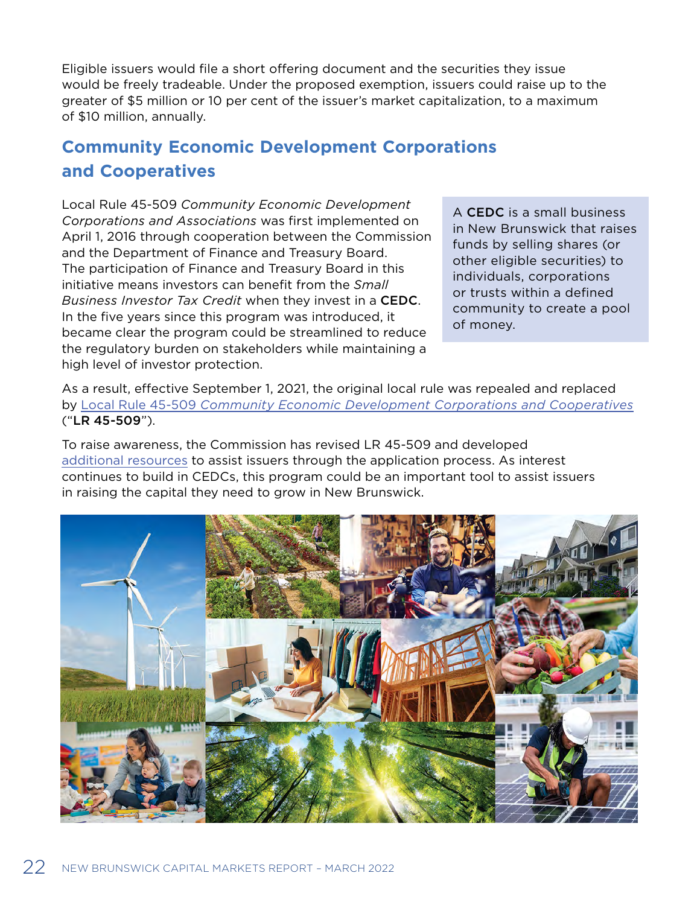<span id="page-21-0"></span>Eligible issuers would file a short offering document and the securities they issue would be freely tradeable. Under the proposed exemption, issuers could raise up to the greater of \$5 million or 10 per cent of the issuer's market capitalization, to a maximum of \$10 million, annually.

### **Community Economic Development Corporations and Cooperatives**

Local Rule 45-509 *Community Economic Development Corporations and Associations* was first implemented on April 1, 2016 through cooperation between the Commission and the Department of Finance and Treasury Board. The participation of Finance and Treasury Board in this initiative means investors can benefit from the *Small Business Investor Tax Credit* when they invest in a CEDC. In the five years since this program was introduced, it became clear the program could be streamlined to reduce the regulatory burden on stakeholders while maintaining a high level of investor protection.

A CEDC is a small business in New Brunswick that raises funds by selling shares (or other eligible securities) to individuals, corporations or trusts within a defined community to create a pool of money.

As a result, effective September 1, 2021, the original local rule was repealed and replaced by Local Rule 45-509 *[Community Economic Development Corporations and Cooperatives](https://www.fcnb.ca/sites/default/files/2021-09/2021-09-01-LR%2045-509-E_0.pdf)* ("LR 45-509").

To raise awareness, the Commission has revised LR 45-509 and developed [additional resources](https://www.fcnb.ca/en/securities/capital-raising/cedc-program) to assist issuers through the application process. As interest continues to build in CEDCs, this program could be an important tool to assist issuers in raising the capital they need to grow in New Brunswick.

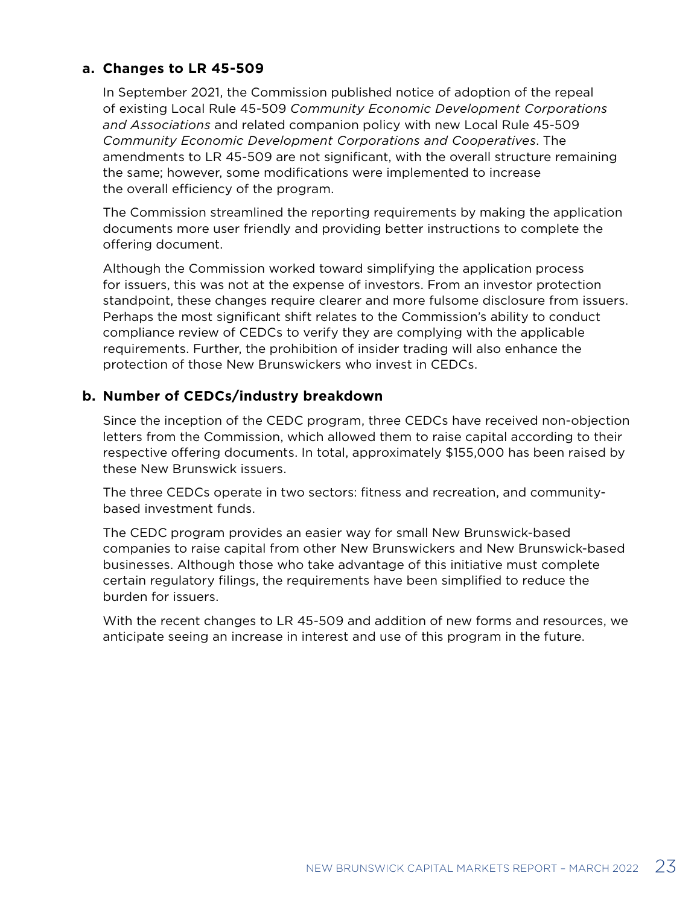### **a. Changes to LR 45-509**

In September 2021, the Commission published notice of adoption of the repeal of existing Local Rule 45-509 *Community Economic Development Corporations and Associations* and related companion policy with new Local Rule 45-509 *Community Economic Development Corporations and Cooperatives*. The amendments to LR 45-509 are not significant, with the overall structure remaining the same; however, some modifications were implemented to increase the overall efficiency of the program.

The Commission streamlined the reporting requirements by making the application documents more user friendly and providing better instructions to complete the offering document.

Although the Commission worked toward simplifying the application process for issuers, this was not at the expense of investors. From an investor protection standpoint, these changes require clearer and more fulsome disclosure from issuers. Perhaps the most significant shift relates to the Commission's ability to conduct compliance review of CEDCs to verify they are complying with the applicable requirements. Further, the prohibition of insider trading will also enhance the protection of those New Brunswickers who invest in CEDCs.

### **b. Number of CEDCs/industry breakdown**

Since the inception of the CEDC program, three CEDCs have received non-objection letters from the Commission, which allowed them to raise capital according to their respective offering documents. In total, approximately \$155,000 has been raised by these New Brunswick issuers.

The three CEDCs operate in two sectors: fitness and recreation, and communitybased investment funds.

The CEDC program provides an easier way for small New Brunswick-based companies to raise capital from other New Brunswickers and New Brunswick-based businesses. Although those who take advantage of this initiative must complete certain regulatory filings, the requirements have been simplified to reduce the burden for issuers.

With the recent changes to LR 45-509 and addition of new forms and resources, we anticipate seeing an increase in interest and use of this program in the future.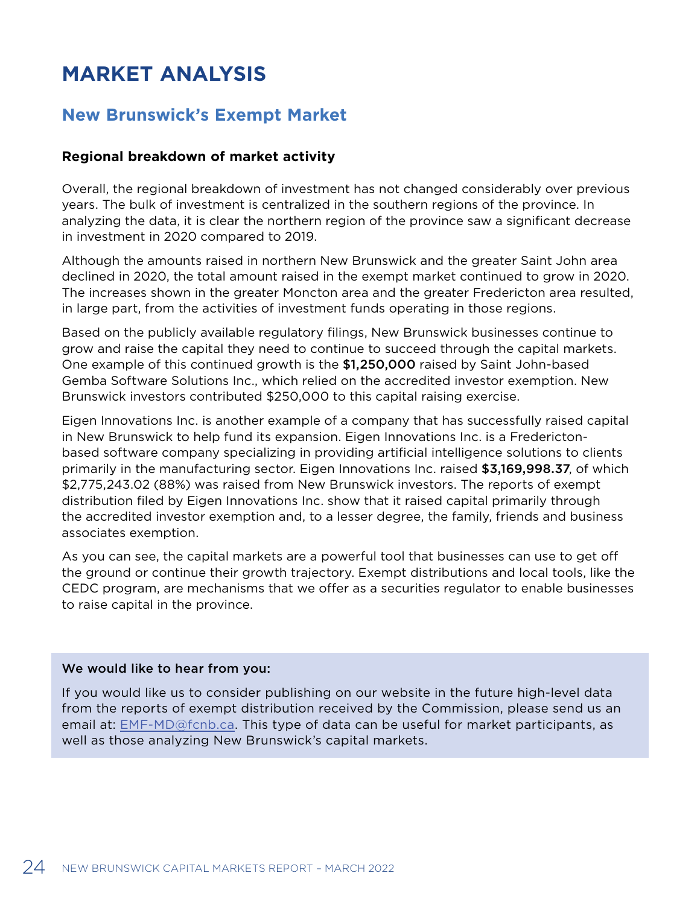# <span id="page-23-0"></span>**MARKET ANALYSIS**

### **New Brunswick's Exempt Market**

### **Regional breakdown of market activity**

Overall, the regional breakdown of investment has not changed considerably over previous years. The bulk of investment is centralized in the southern regions of the province. In analyzing the data, it is clear the northern region of the province saw a significant decrease in investment in 2020 compared to 2019.

Although the amounts raised in northern New Brunswick and the greater Saint John area declined in 2020, the total amount raised in the exempt market continued to grow in 2020. The increases shown in the greater Moncton area and the greater Fredericton area resulted, in large part, from the activities of investment funds operating in those regions.

Based on the publicly available regulatory filings, New Brunswick businesses continue to grow and raise the capital they need to continue to succeed through the capital markets. One example of this continued growth is the \$1,250,000 raised by Saint John-based Gemba Software Solutions Inc., which relied on the accredited investor exemption. New Brunswick investors contributed \$250,000 to this capital raising exercise.

Eigen Innovations Inc. is another example of a company that has successfully raised capital in New Brunswick to help fund its expansion. Eigen Innovations Inc. is a Frederictonbased software company specializing in providing artificial intelligence solutions to clients primarily in the manufacturing sector. Eigen Innovations Inc. raised \$3,169,998.37, of which \$2,775,243.02 (88%) was raised from New Brunswick investors. The reports of exempt distribution filed by Eigen Innovations Inc. show that it raised capital primarily through the accredited investor exemption and, to a lesser degree, the family, friends and business associates exemption.

As you can see, the capital markets are a powerful tool that businesses can use to get off the ground or continue their growth trajectory. Exempt distributions and local tools, like the CEDC program, are mechanisms that we offer as a securities regulator to enable businesses to raise capital in the province.

#### We would like to hear from you:

If you would like us to consider publishing on our website in the future high-level data from the reports of exempt distribution received by the Commission, please send us an email at: [EMF-MD@fcnb.ca](mailto:EMF-MD%40fcnb.ca?subject=). This type of data can be useful for market participants, as well as those analyzing New Brunswick's capital markets.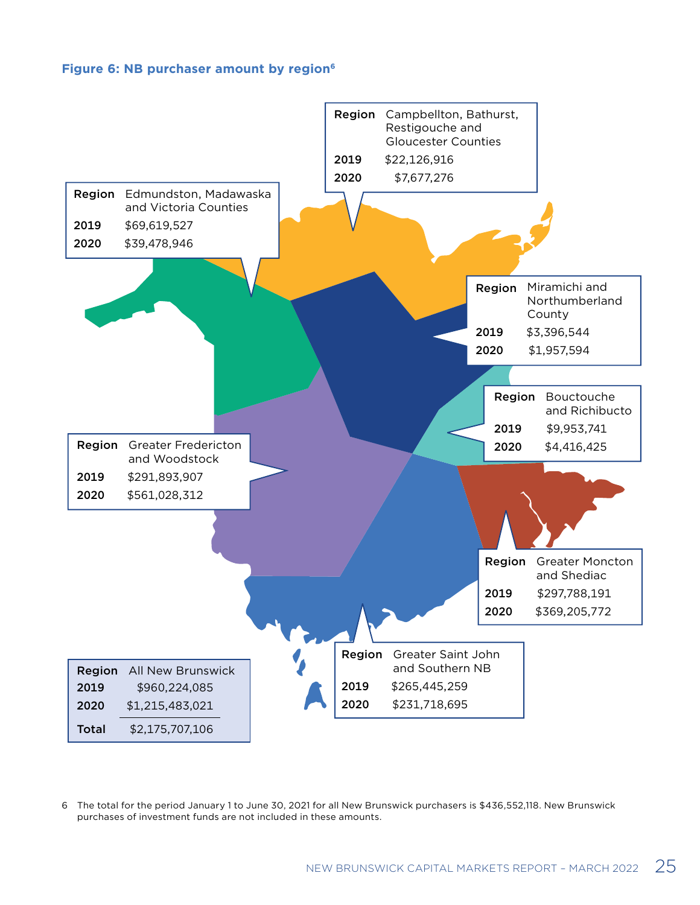#### **Figure 6: NB purchaser amount by region6**

<span id="page-24-0"></span>

6 The total for the period January 1 to June 30, 2021 for all New Brunswick purchasers is \$436,552,118. New Brunswick purchases of investment funds are not included in these amounts.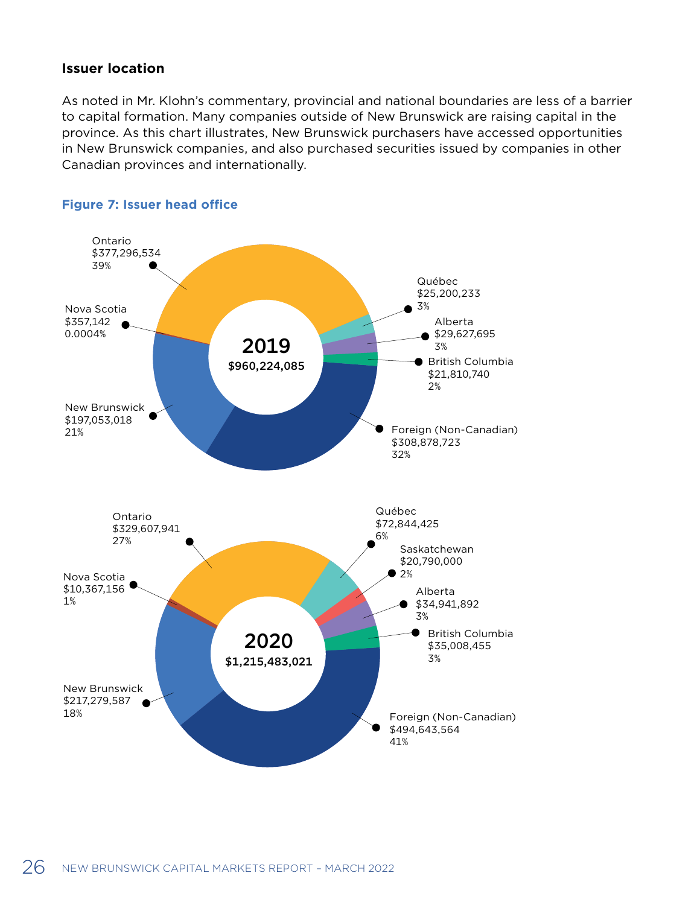### <span id="page-25-0"></span>**Issuer location**

As noted in Mr. Klohn's commentary, provincial and national boundaries are less of a barrier to capital formation. Many companies outside of New Brunswick are raising capital in the province. As this chart illustrates, New Brunswick purchasers have accessed opportunities in New Brunswick companies, and also purchased securities issued by companies in other Canadian provinces and internationally.



#### **Figure 7: Issuer head office**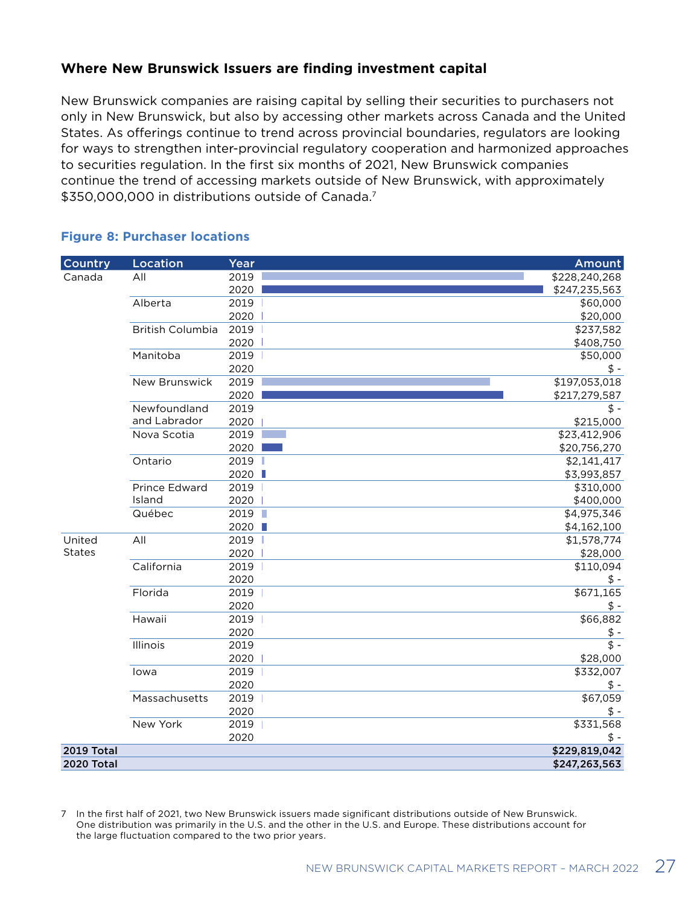### <span id="page-26-0"></span>**Where New Brunswick Issuers are finding investment capital**

New Brunswick companies are raising capital by selling their securities to purchasers not only in New Brunswick, but also by accessing other markets across Canada and the United States. As offerings continue to trend across provincial boundaries, regulators are looking for ways to strengthen inter-provincial regulatory cooperation and harmonized approaches to securities regulation. In the first six months of 2021, New Brunswick companies continue the trend of accessing markets outside of New Brunswick, with approximately \$350,000,000 in distributions outside of Canada.7

#### **Figure 8: Purchaser locations**

| Country           | Location                | Year   | <b>Amount</b> |
|-------------------|-------------------------|--------|---------------|
| Canada            | All                     | 2019   | \$228,240,268 |
|                   |                         | 2020   | \$247,235,563 |
|                   | Alberta                 | 2019   | \$60,000      |
|                   |                         | 2020   | \$20,000      |
|                   | <b>British Columbia</b> | 2019   | \$237,582     |
|                   |                         | 2020   | \$408,750     |
|                   | Manitoba                | 2019   | \$50,000      |
|                   |                         | 2020   | $$ -$         |
|                   | <b>New Brunswick</b>    | 2019   | \$197,053,018 |
|                   |                         | 2020   | \$217,279,587 |
|                   | Newfoundland            | 2019   | \$ -          |
|                   | and Labrador            | 2020   | \$215,000     |
|                   | Nova Scotia             | 2019   | \$23,412,906  |
|                   |                         | 2020   | \$20,756,270  |
|                   | Ontario                 | 2019   | \$2,141,417   |
|                   |                         | 2020 ■ | \$3,993,857   |
|                   | Prince Edward           | 2019   | \$310,000     |
|                   | Island                  | 2020   | \$400,000     |
|                   | Québec                  | 2019   | \$4,975,346   |
|                   |                         | 2020   | \$4,162,100   |
| United            | All                     | 2019   | \$1,578,774   |
| <b>States</b>     |                         | 2020   | \$28,000      |
|                   | California              | 2019   | \$110,094     |
|                   |                         | 2020   | \$ -          |
|                   | Florida                 | 2019   | \$671,165     |
|                   |                         | 2020   | $$ -$         |
|                   | Hawaii                  | 2019   | \$66,882      |
|                   |                         | 2020   | $$ -$         |
|                   | Illinois                | 2019   | $$ -$         |
|                   |                         | 2020   | \$28,000      |
|                   | lowa                    | 2019   | \$332,007     |
|                   |                         | 2020   | $$ -$         |
|                   | Massachusetts           | 2019   | \$67,059      |
|                   |                         | 2020   | $$ -$         |
|                   | New York                | 2019   | \$331,568     |
|                   |                         | 2020   | $$ -$         |
| <b>2019 Total</b> |                         |        | \$229,819,042 |
| <b>2020 Total</b> |                         |        | \$247,263,563 |

7 In the first half of 2021, two New Brunswick issuers made significant distributions outside of New Brunswick. One distribution was primarily in the U.S. and the other in the U.S. and Europe. These distributions account for the large fluctuation compared to the two prior years.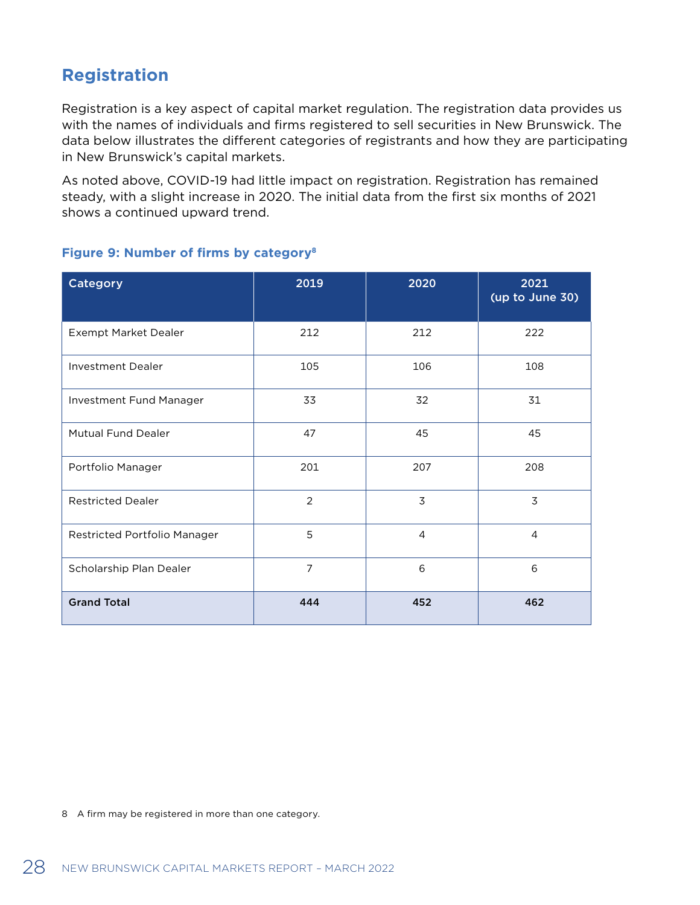### <span id="page-27-0"></span>**Registration**

Registration is a key aspect of capital market regulation. The registration data provides us with the names of individuals and firms registered to sell securities in New Brunswick. The data below illustrates the different categories of registrants and how they are participating in New Brunswick's capital markets.

As noted above, COVID-19 had little impact on registration. Registration has remained steady, with a slight increase in 2020. The initial data from the first six months of 2021 shows a continued upward trend.

| Category                     | 2019           | 2020           | 2021<br>(up to June 30) |
|------------------------------|----------------|----------------|-------------------------|
| Exempt Market Dealer         | 212            | 212            | 222                     |
| <b>Investment Dealer</b>     | 105            | 106            | 108                     |
| Investment Fund Manager      | 33             | 32             | 31                      |
| <b>Mutual Fund Dealer</b>    | 47             | 45             | 45                      |
| Portfolio Manager            | 201            | 207            | 208                     |
| <b>Restricted Dealer</b>     | $\overline{2}$ | 3              | 3                       |
| Restricted Portfolio Manager | 5              | $\overline{4}$ | $\overline{4}$          |
| Scholarship Plan Dealer      | $\overline{7}$ | 6              | 6                       |
| <b>Grand Total</b>           | 444            | 452            | 462                     |

#### **Figure 9: Number of firms by category8**

8 A firm may be registered in more than one category.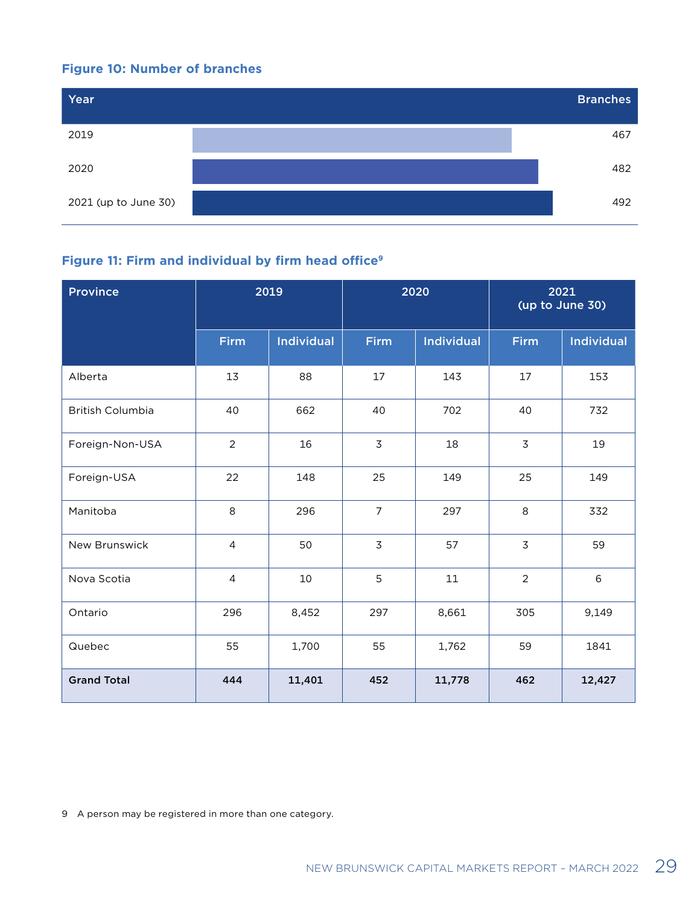### <span id="page-28-0"></span>**Figure 10: Number of branches**



### **Figure 11: Firm and individual by firm head office9**

| <b>Province</b>         | 2019<br>2020   |                   |                | 2021<br>(up to June 30) |                |                   |
|-------------------------|----------------|-------------------|----------------|-------------------------|----------------|-------------------|
|                         | Firm           | <b>Individual</b> | Firm           | <b>Individual</b>       | <b>Firm</b>    | <b>Individual</b> |
| Alberta                 | 13             | 88                | 17             | 143                     | 17             | 153               |
| <b>British Columbia</b> | 40             | 662               | 40             | 702                     | 40             | 732               |
| Foreign-Non-USA         | $\overline{2}$ | 16                | 3              | 18                      | $\mathsf 3$    | 19                |
| Foreign-USA             | 22             | 148               | 25             | 149                     | 25             | 149               |
| Manitoba                | 8              | 296               | $\overline{7}$ | 297                     | 8              | 332               |
| New Brunswick           | $\overline{4}$ | 50                | $\overline{3}$ | 57                      | $\overline{3}$ | 59                |
| Nova Scotia             | $\overline{4}$ | 10                | 5              | 11                      | $\overline{2}$ | $\,6\,$           |
| Ontario                 | 296            | 8,452             | 297            | 8,661                   | 305            | 9,149             |
| Quebec                  | 55             | 1,700             | 55             | 1,762                   | 59             | 1841              |
| <b>Grand Total</b>      | 444            | 11,401            | 452            | 11,778                  | 462            | 12,427            |

9 A person may be registered in more than one category.